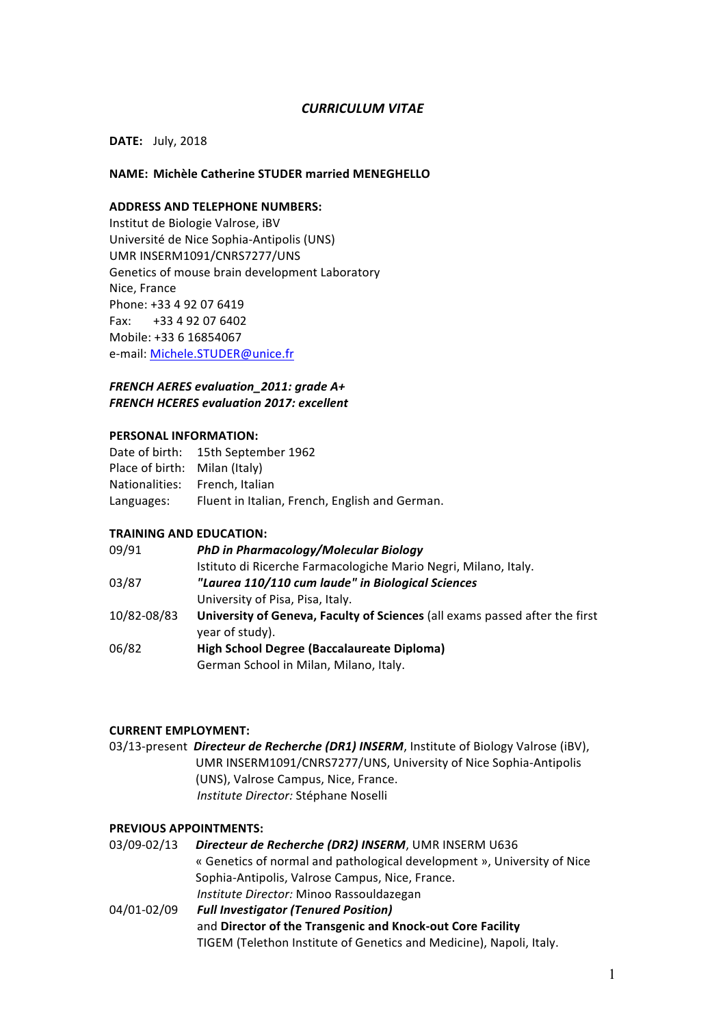## *CURRICULUM VITAE*

## **DATE:** July, 2018

### **NAME: Michèle Catherine STUDER married MENEGHELLO**

# **ADDRESS AND TELEPHONE NUMBERS:**

Institut de Biologie Valrose, iBV Université de Nice Sophia-Antipolis (UNS) UMR INSERM1091/CNRS7277/UNS Genetics of mouse brain development Laboratory Nice, France Phone: +33 4 92 07 6419 Fax:  $+33\,4\,92\,07\,6402$ Mobile: +33 6 16854067 e-mail: Michele.STUDER@unice.fr

## **FRENCH AERES evaluation\_2011: grade A+ FRENCH HCERES evaluation 2017: excellent**

### **PERSONAL INFORMATION:**

|                               | Date of birth: 15th September 1962             |
|-------------------------------|------------------------------------------------|
| Place of birth: Milan (Italy) |                                                |
|                               | Nationalities: French. Italian                 |
| Languages:                    | Fluent in Italian, French, English and German. |

#### **TRAINING AND EDUCATION:**

| 09/91       | PhD in Pharmacology/Molecular Biology                                       |
|-------------|-----------------------------------------------------------------------------|
|             | Istituto di Ricerche Farmacologiche Mario Negri, Milano, Italy.             |
| 03/87       | "Laurea 110/110 cum laude" in Biological Sciences                           |
|             | University of Pisa, Pisa, Italy.                                            |
| 10/82-08/83 | University of Geneva, Faculty of Sciences (all exams passed after the first |
|             | year of study).                                                             |
| 06/82       | High School Degree (Baccalaureate Diploma)                                  |
|             | German School in Milan, Milano, Italy.                                      |

## **CURRENT EMPLOYMENT:**

03/13-present *Directeur de Recherche (DR1) INSERM*, Institute of Biology Valrose (iBV), UMR INSERM1091/CNRS7277/UNS, University of Nice Sophia-Antipolis (UNS), Valrose Campus, Nice, France. *Institute Director: Stéphane Noselli* 

### **PREVIOUS APPOINTMENTS:**

| 03/09-02/13 | Directeur de Recherche (DR2) INSERM, UMR INSERM U636                    |
|-------------|-------------------------------------------------------------------------|
|             | « Genetics of normal and pathological development », University of Nice |
|             | Sophia-Antipolis, Valrose Campus, Nice, France.                         |
|             | Institute Director: Minoo Rassouldazegan                                |
| 04/01-02/09 | <b>Full Investigator (Tenured Position)</b>                             |
|             | and Director of the Transgenic and Knock-out Core Facility              |
|             | TIGEM (Telethon Institute of Genetics and Medicine), Napoli, Italy.     |
|             |                                                                         |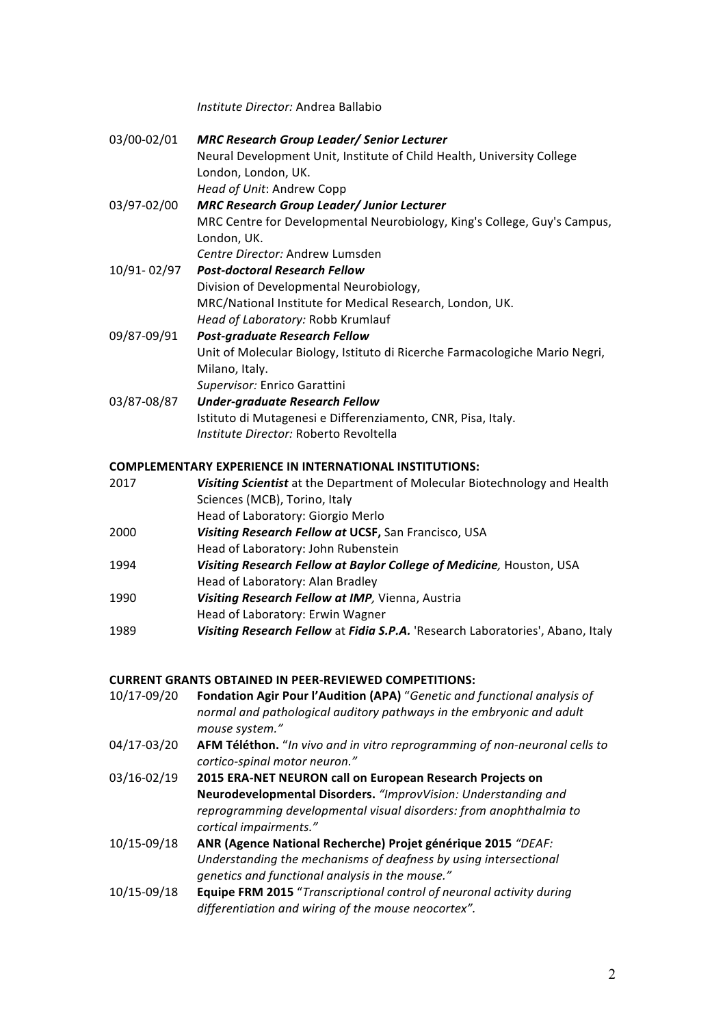*Institute Director:* Andrea Ballabio

| 03/00-02/01 | <b>MRC Research Group Leader/ Senior Lecturer</b>                           |
|-------------|-----------------------------------------------------------------------------|
|             | Neural Development Unit, Institute of Child Health, University College      |
|             | London, London, UK.                                                         |
|             | Head of Unit: Andrew Copp                                                   |
| 03/97-02/00 | <b>MRC Research Group Leader/ Junior Lecturer</b>                           |
|             | MRC Centre for Developmental Neurobiology, King's College, Guy's Campus,    |
|             | London, UK.                                                                 |
|             | Centre Director: Andrew Lumsden                                             |
| 10/91-02/97 | <b>Post-doctoral Research Fellow</b>                                        |
|             | Division of Developmental Neurobiology,                                     |
|             | MRC/National Institute for Medical Research, London, UK.                    |
|             | Head of Laboratory: Robb Krumlauf                                           |
| 09/87-09/91 | <b>Post-graduate Research Fellow</b>                                        |
|             | Unit of Molecular Biology, Istituto di Ricerche Farmacologiche Mario Negri, |
|             | Milano, Italy.                                                              |
|             | Supervisor: Enrico Garattini                                                |
| 03/87-08/87 | <b>Under-graduate Research Fellow</b>                                       |
|             | Istituto di Mutagenesi e Differenziamento, CNR, Pisa, Italy.                |
|             | <i>Institute Director: Roberto Revoltella</i>                               |
|             |                                                                             |
|             |                                                                             |

## **COMPLEMENTARY EXPERIENCE IN INTERNATIONAL INSTITUTIONS:**

| 2017 | Visiting Scientist at the Department of Molecular Biotechnology and Health     |
|------|--------------------------------------------------------------------------------|
|      | Sciences (MCB), Torino, Italy                                                  |
|      | Head of Laboratory: Giorgio Merlo                                              |
| 2000 | Visiting Research Fellow at UCSF, San Francisco, USA                           |
|      | Head of Laboratory: John Rubenstein                                            |
| 1994 | Visiting Research Fellow at Baylor College of Medicine, Houston, USA           |
|      | Head of Laboratory: Alan Bradley                                               |
| 1990 | Visiting Research Fellow at IMP, Vienna, Austria                               |
|      | Head of Laboratory: Erwin Wagner                                               |
| 1989 | Visiting Research Fellow at Fidia S.P.A. 'Research Laboratories', Abano, Italy |

# **CURRENT GRANTS OBTAINED IN PEER-REVIEWED COMPETITIONS:**

- 10/17-09/20 **Fondation Agir Pour l'Audition (APA)** "Genetic and functional analysis of *normal and pathological auditory pathways in the embryonic and adult mouse system."*
- 04/17-03/20 AFM Téléthon. "*In vivo and in vitro reprogramming of non-neuronal cells to cortico-spinal motor neuron."*
- 03/16-02/19 **2015 ERA-NET NEURON call on European Research Projects on Neurodevelopmental Disorders.** "ImprovVision: Understanding and reprogramming developmental visual disorders: from anophthalmia to *cortical impairments."*
- 10/15-09/18 ANR (Agence National Recherche) Projet générique 2015 "DEAF: Understanding the mechanisms of deafness by using intersectional *genetics and functional analysis in the mouse."*
- 10/15-09/18 **Equipe FRM 2015** "*Transcriptional control of neuronal activity during*  differentiation and wiring of the mouse neocortex".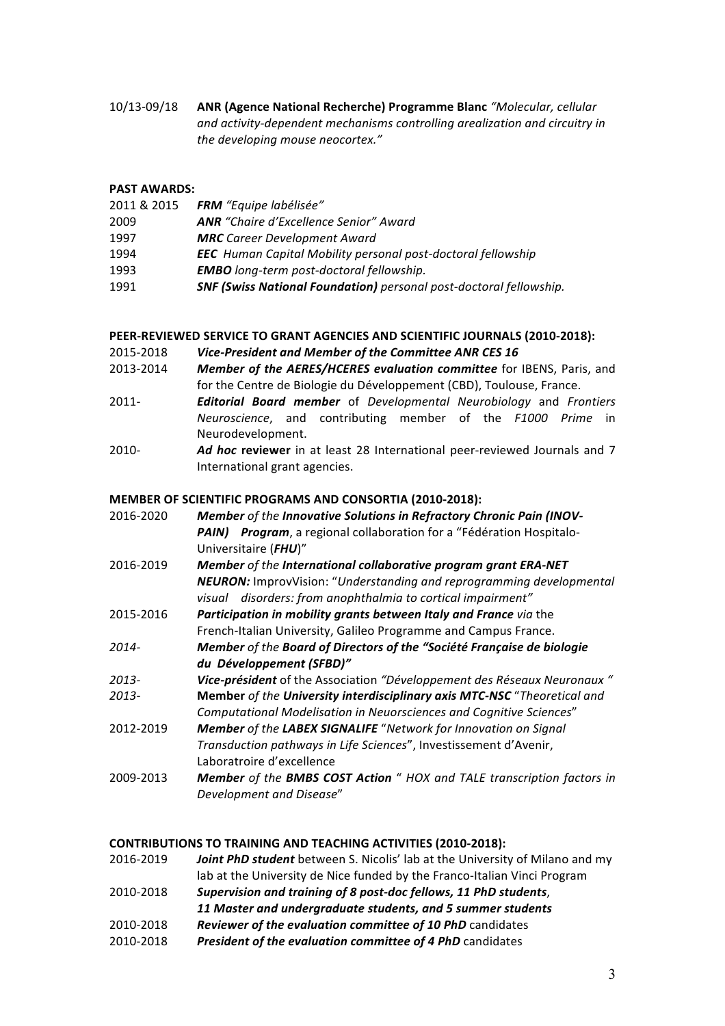10/13-09/18 ANR (Agence National Recherche) Programme Blanc "Molecular, cellular and activity-dependent mechanisms controlling arealization and circuitry in the developing mouse neocortex."

**PAST AWARDS:**

- 2011 & 2015 *FRM "Equipe labélisée"*
- 2009 *ANR "Chaire d'Excellence Senior" Award*
- 1997 **MRC** Career Development Award
- 1994 *EEC* Human Capital Mobility personal post-doctoral fellowship
- 1993 **EMBO** long-term post-doctoral fellowship.
- 1991 *SNF (Swiss National Foundation) personal post-doctoral fellowship.*

## **PEER-REVIEWED SERVICE TO GRANT AGENCIES AND SCIENTIFIC JOURNALS (2010-2018):**

- 2015-2018 Vice-President and Member of the Committee ANR CES 16
- 2013-2014 **Member of the AERES/HCERES evaluation committee** for IBENS, Paris, and for the Centre de Biologie du Développement (CBD), Toulouse, France.
- 2011- *Editorial Board member* of *Developmental Neurobiology* and *Frontiers Neuroscience*, and contributing member of the *F1000 Prime* in Neurodevelopment.
- 2010-<br>*Ad hoc reviewer* in at least 28 International peer-reviewed Journals and 7 International grant agencies.

## **MEMBER OF SCIENTIFIC PROGRAMS AND CONSORTIA (2010-2018):**

- 2016-2020 Member of the *Innovative Solutions in Refractory Chronic Pain (INOV-***PAIN)** Program, a regional collaboration for a "Fédération Hospitalo-Universitaire (*FHU*)" 2016-2019 Member of the International collaborative program grant ERA-NET *NEURON:* ImprovVision: "Understanding and reprogramming developmental *visual disorders: from anophthalmia to cortical impairment"* 2015-2016 **Participation in mobility grants between Italy and France** via the French-Italian University, Galileo Programme and Campus France. *2014- Member of the Board of Directors of the "Société Française de biologie du Développement (SFBD)"* 2013-*Vice-président* of the Association "Développement des Réseaux Neuronaux " **2013- Member** of the **University interdisciplinary axis MTC-NSC** "Theoretical and *Computational Modelisation in Neuorsciences and Cognitive Sciences*" 2012-2019 **Member** of the LABEX SIGNALIFE "Network for Innovation on Sianal
- *Transduction pathways in Life Sciences*", Investissement d'Avenir, Laboratroire d'excellence
- 2009-2013 **Member** of the **BMBS COST Action** " HOX and TALE transcription factors in *Development and Disease*"

## **CONTRIBUTIONS TO TRAINING AND TEACHING ACTIVITIES (2010-2018):**

- 2016-2019 *Joint PhD student* between S. Nicolis' lab at the University of Milano and my lab at the University de Nice funded by the Franco-Italian Vinci Program 2010-2018 *Supervision and training of 8 post-doc fellows, 11 PhD students*,
- *11 Master and undergraduate students, and 5 summer students*
- 2010-2018 **Reviewer of the evaluation committee of 10 PhD** candidates
- 2010-2018 President of the evaluation committee of 4 PhD candidates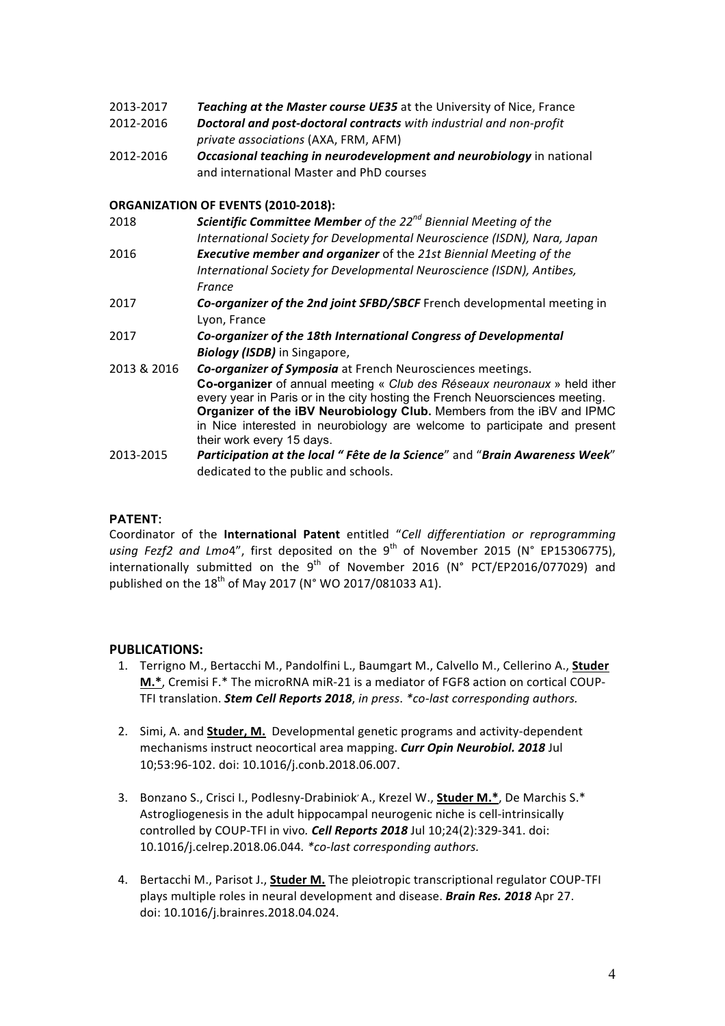- 2013-2017 **Teaching at the Master course UE35** at the University of Nice, France
- 2012-2016 **Doctoral and post-doctoral contracts** with industrial and non-profit *private associations* (AXA, FRM, AFM)
- 2012-2016 Occasional *teaching in neurodevelopment and neurobiology* in national and international Master and PhD courses

## **ORGANIZATION OF EVENTS (2010-2018):**

| 2018        | <b>Scientific Committee Member</b> of the $22^{nd}$ Biennial Meeting of the                                                                              |
|-------------|----------------------------------------------------------------------------------------------------------------------------------------------------------|
|             | International Society for Developmental Neuroscience (ISDN), Nara, Japan                                                                                 |
| 2016        | <b>Executive member and organizer</b> of the 21st Biennial Meeting of the                                                                                |
|             | International Society for Developmental Neuroscience (ISDN), Antibes,                                                                                    |
|             | France                                                                                                                                                   |
| 2017        | Co-organizer of the 2nd joint SFBD/SBCF French developmental meeting in                                                                                  |
|             | Lyon, France                                                                                                                                             |
| 2017        | Co-organizer of the 18th International Congress of Developmental                                                                                         |
|             | <b>Biology (ISDB)</b> in Singapore,                                                                                                                      |
| 2013 & 2016 | Co-organizer of Symposia at French Neurosciences meetings.                                                                                               |
|             | Co-organizer of annual meeting « Club des Réseaux neuronaux » held ither<br>every year in Paris or in the city hosting the French Neuorsciences meeting. |
|             | Organizer of the iBV Neurobiology Club. Members from the iBV and IPMC                                                                                    |
|             | in Nice interested in neurobiology are welcome to participate and present                                                                                |
|             | their work every 15 days.                                                                                                                                |
| 2013-2015   | Participation at the local "Fête de la Science" and "Brain Awareness Week"                                                                               |

# **PATENT:**

Coordinator of the International Patent entitled "Cell differentiation or reprogramming using Fezf2 and Lmo4", first deposited on the 9<sup>th</sup> of November 2015 (N° EP15306775), internationally submitted on the  $9^{th}$  of November 2016 (N° PCT/EP2016/077029) and published on the  $18^{th}$  of May 2017 (N° WO 2017/081033 A1).

dedicated to the public and schools.

# **PUBLICATIONS:**

- 1. Terrigno M., Bertacchi M., Pandolfini L., Baumgart M., Calvello M., Cellerino A., Studer **M.\***, Cremisi F.\* The microRNA miR-21 is a mediator of FGF8 action on cortical COUP-TFI translation. Stem Cell Reports 2018, in press. \*co-last corresponding authors.
- 2. Simi, A. and **Studer, M.** Developmental genetic programs and activity-dependent mechanisms instruct neocortical area mapping. *Curr Opin Neurobiol.* 2018 Jul 10;53:96-102. doi: 10.1016/j.conb.2018.06.007.
- 3. Bonzano S., Crisci I., Podlesny-Drabiniok' A., Krezel W., **Studer M.\***, De Marchis S.\* Astrogliogenesis in the adult hippocampal neurogenic niche is cell-intrinsically controlled by COUP-TFI in vivo. *Cell Reports* 2018 Jul 10;24(2):329-341. doi: 10.1016/j.celrep.2018.06.044*. \*co-last corresponding authors.*
- 4. Bertacchi M., Parisot J., **Studer M.** The pleiotropic transcriptional regulator COUP-TFI plays multiple roles in neural development and disease. *Brain Res. 2018* Apr 27. doi: 10.1016/j.brainres.2018.04.024.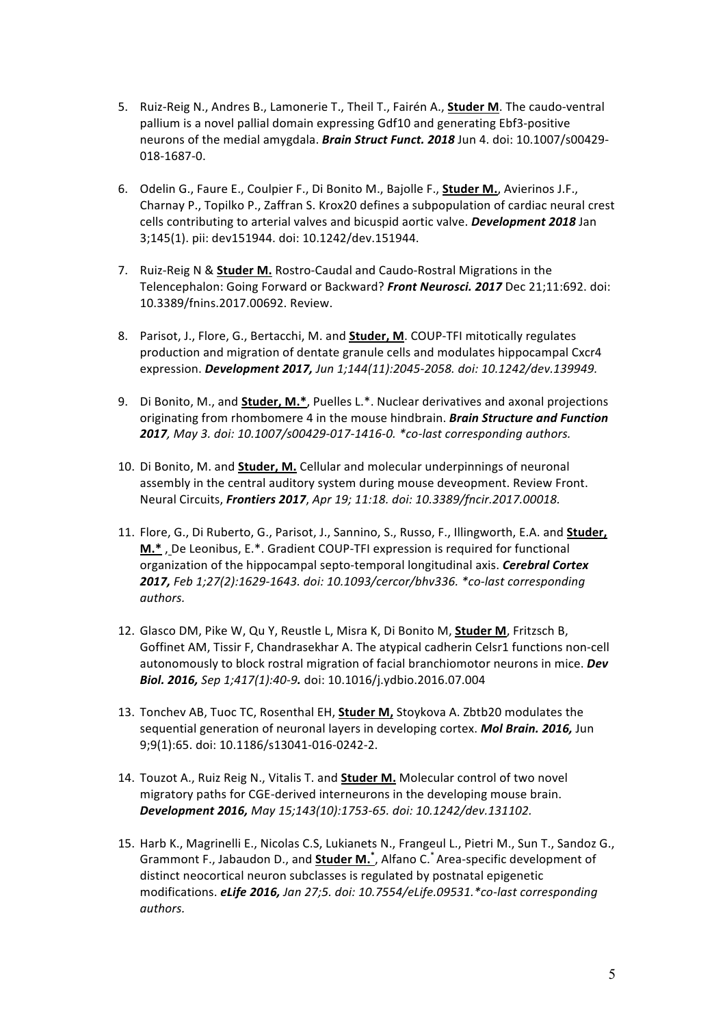- 5. Ruiz-Reig N., Andres B., Lamonerie T., Theil T., Fairén A., **Studer M**. The caudo-ventral pallium is a novel pallial domain expressing Gdf10 and generating Ebf3-positive neurons of the medial amygdala. **Brain Struct Funct. 2018** Jun 4. doi: 10.1007/s00429-018-1687-0.
- 6. Odelin G., Faure E., Coulpier F., Di Bonito M., Bajolle F., **Studer M.**, Avierinos J.F., Charnay P., Topilko P., Zaffran S. Krox20 defines a subpopulation of cardiac neural crest cells contributing to arterial valves and bicuspid aortic valve. *Development 2018* Jan 3;145(1). pii: dev151944. doi: 10.1242/dev.151944.
- 7. Ruiz-Reig N & **Studer M.** Rostro-Caudal and Caudo-Rostral Migrations in the Telencephalon: Going Forward or Backward? Front Neurosci. 2017 Dec 21;11:692. doi: 10.3389/fnins.2017.00692. Review.
- 8. Parisot, J., Flore, G., Bertacchi, M. and **Studer, M**. COUP-TFI mitotically regulates production and migration of dentate granule cells and modulates hippocampal Cxcr4 expression. *Development 2017,* Jun 1;144(11):2045-2058. doi: 10.1242/dev.139949.
- 9. Di Bonito, M., and **Studer, M.\***, Puelles L.\*. Nuclear derivatives and axonal projections originating from rhombomere 4 in the mouse hindbrain. *Brain Structure and Function 2017, May 3. doi: 10.1007/s00429-017-1416-0. \*co-last corresponding authors.*
- 10. Di Bonito, M. and **Studer, M.** Cellular and molecular underpinnings of neuronal assembly in the central auditory system during mouse deveopment. Review Front. Neural Circuits, *Frontiers 2017*, *Apr 19; 11:18. doi: 10.3389/fncir.2017.00018.*
- 11. Flore, G., Di Ruberto, G., Parisot, J., Sannino, S., Russo, F., Illingworth, E.A. and **Studer, M.\***, De Leonibus, E.\*. Gradient COUP-TFI expression is required for functional organization of the hippocampal septo-temporal longitudinal axis. *Cerebral Cortex* **2017,** Feb 1;27(2):1629-1643. doi: 10.1093/cercor/bhv336. \*co-last corresponding *authors.*
- 12. Glasco DM, Pike W, Qu Y, Reustle L, Misra K, Di Bonito M, **Studer M**, Fritzsch B, Goffinet AM, Tissir F, Chandrasekhar A. The atypical cadherin Celsr1 functions non-cell autonomously to block rostral migration of facial branchiomotor neurons in mice. *Dev* **Biol. 2016,** Sep 1;417(1):40-9. doi: 10.1016/j.ydbio.2016.07.004
- 13. Tonchev AB, Tuoc TC, Rosenthal EH, **Studer M**, Stoykova A. Zbtb20 modulates the sequential generation of neuronal layers in developing cortex. *Mol Brain. 2016*, Jun 9;9(1):65. doi: 10.1186/s13041-016-0242-2.
- 14. Touzot A., Ruiz Reig N., Vitalis T. and **Studer M.** Molecular control of two novel migratory paths for CGE-derived interneurons in the developing mouse brain. *Development 2016, May 15;143(10):1753-65. doi: 10.1242/dev.131102.*
- 15. Harb K., Magrinelli E., Nicolas C.S, Lukianets N., Frangeul L., Pietri M., Sun T., Sandoz G., Grammont F., Jabaudon D., and **Studer M.** \*, Alfano C. \* Area-specific development of distinct neocortical neuron subclasses is regulated by postnatal epigenetic modifications. *eLife 2016, Jan 27;5. doi: 10.7554/eLife.09531.\*co-last corresponding authors.*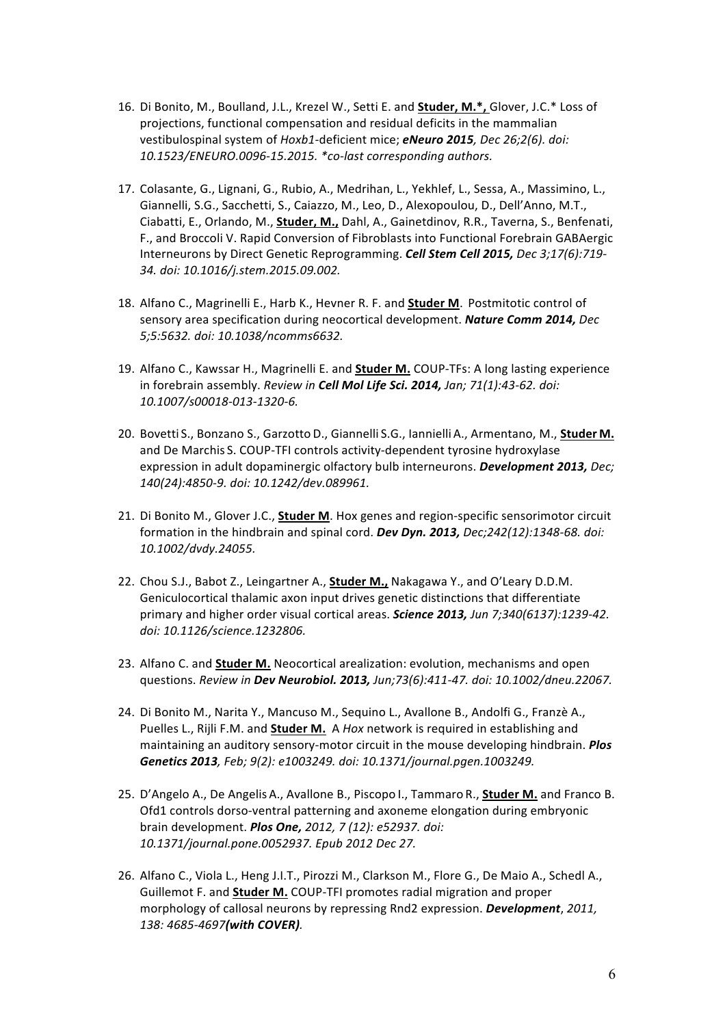- 16. Di Bonito, M., Boulland, J.L., Krezel W., Setti E. and **Studer, M.\***, Glover, J.C.\* Loss of projections, functional compensation and residual deficits in the mammalian vestibulospinal system of *Hoxb1*-deficient mice; **eNeuro 2015**, Dec 26;2(6). doi: *10.1523/ENEURO.0096-15.2015. \*co-last corresponding authors.*
- 17. Colasante, G., Lignani, G., Rubio, A., Medrihan, L., Yekhlef, L., Sessa, A., Massimino, L., Giannelli, S.G., Sacchetti, S., Caiazzo, M., Leo, D., Alexopoulou, D., Dell'Anno, M.T., Ciabatti, E., Orlando, M., **Studer, M.,** Dahl, A., Gainetdinov, R.R., Taverna, S., Benfenati, F., and Broccoli V. Rapid Conversion of Fibroblasts into Functional Forebrain GABAergic Interneurons by Direct Genetic Reprogramming. *Cell Stem Cell 2015, Dec 3;17(6):719- 34. doi: 10.1016/j.stem.2015.09.002.*
- 18. Alfano C., Magrinelli E., Harb K., Hevner R. F. and **Studer M**. Postmitotic control of sensory area specification during neocortical development. **Nature Comm 2014,** Dec *5;5:5632. doi: 10.1038/ncomms6632.*
- 19. Alfano C., Kawssar H., Magrinelli E. and **Studer M.** COUP-TFs: A long lasting experience in forebrain assembly. *Review in Cell Mol Life Sci. 2014, Jan; 71(1):43-62. doi: 10.1007/s00018-013-1320-6.*
- 20. Bovetti S., Bonzano S., Garzotto D., Giannelli S.G., Iannielli A., Armentano, M., Studer M. and De Marchis S. COUP-TFI controls activity-dependent tyrosine hydroxylase expression in adult dopaminergic olfactory bulb interneurons. *Development 2013, Dec; 140(24):4850-9. doi: 10.1242/dev.089961.*
- 21. Di Bonito M., Glover J.C., **Studer M**. Hox genes and region-specific sensorimotor circuit formation in the hindbrain and spinal cord. *Dev Dyn. 2013, Dec;242(12):1348-68. doi: 10.1002/dvdy.24055.*
- 22. Chou S.J., Babot Z., Leingartner A., **Studer M.,** Nakagawa Y., and O'Leary D.D.M. Geniculocortical thalamic axon input drives genetic distinctions that differentiate primary and higher order visual cortical areas. **Science 2013,** Jun 7;340(6137):1239-42. *doi: 10.1126/science.1232806.*
- 23. Alfano C. and **Studer M.** Neocortical arealization: evolution, mechanisms and open questions. *Review in Dev Neurobiol. 2013, Jun;73(6):411-47. doi: 10.1002/dneu.22067.*
- 24. Di Bonito M., Narita Y., Mancuso M., Sequino L., Avallone B., Andolfi G., Franzè A., Puelles L., Rijli F.M. and **Studer M.** A *Hox* network is required in establishing and maintaining an auditory sensory-motor circuit in the mouse developing hindbrain. **Plos** Genetics 2013, Feb; 9(2): e1003249. doi: 10.1371/journal.pgen.1003249.
- 25. D'Angelo A., De Angelis A., Avallone B., Piscopo I., Tammaro R., **Studer M.** and Franco B. Ofd1 controls dorso-ventral patterning and axoneme elongation during embryonic brain development. *Plos One, 2012, 7 (12): e52937. doi: 10.1371/journal.pone.0052937. Epub 2012 Dec 27.*
- 26. Alfano C., Viola L., Heng J.I.T., Pirozzi M., Clarkson M., Flore G., De Maio A., Schedl A., Guillemot F. and **Studer M.** COUP-TFI promotes radial migration and proper morphology of callosal neurons by repressing Rnd2 expression. *Development*, 2011, *138: 4685-4697(with COVER).*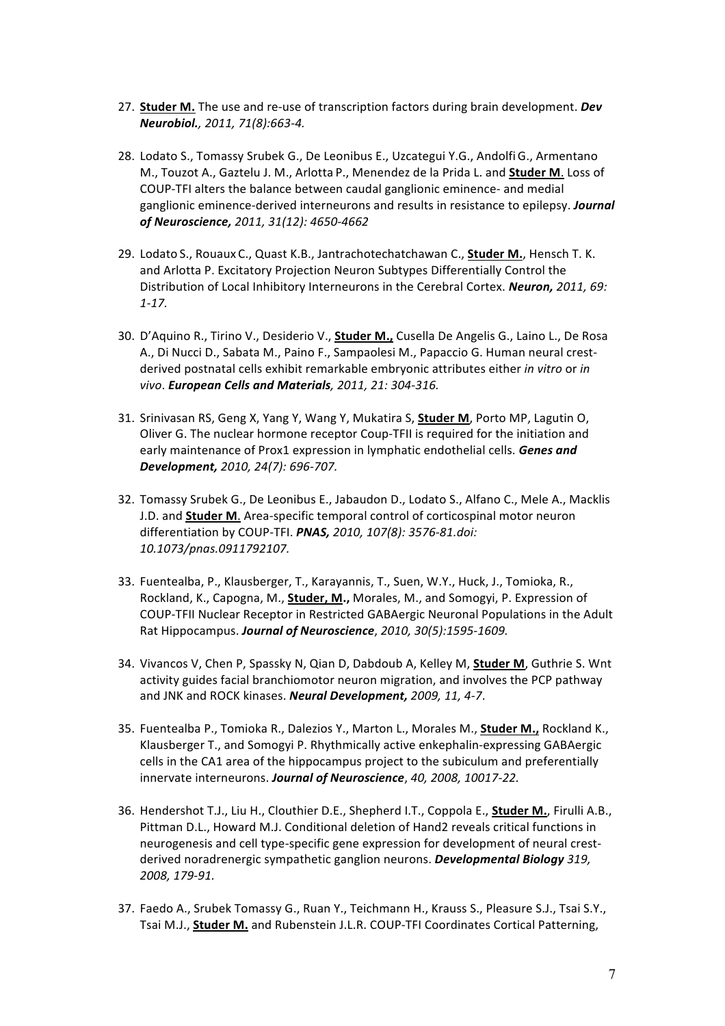- 27. **Studer M.** The use and re-use of transcription factors during brain development. *Dev Neurobiol., 2011, 71(8):663-4.*
- 28. Lodato S., Tomassy Srubek G., De Leonibus E., Uzcategui Y.G., Andolfi G., Armentano M., Touzot A., Gaztelu J. M., Arlotta P., Menendez de la Prida L. and **Studer M.** Loss of COUP-TFI alters the balance between caudal ganglionic eminence- and medial ganglionic eminence-derived interneurons and results in resistance to epilepsy. *Journal of Neuroscience, 2011, 31(12): 4650-4662*
- 29. Lodato S., Rouaux C., Quast K.B., Jantrachotechatchawan C., **Studer M.**, Hensch T. K. and Arlotta P. Excitatory Projection Neuron Subtypes Differentially Control the Distribution of Local Inhibitory Interneurons in the Cerebral Cortex. **Neuron,** 2011, 69: *1-17.*
- 30. D'Aquino R., Tirino V., Desiderio V., **Studer M.,** Cusella De Angelis G., Laino L., De Rosa A., Di Nucci D., Sabata M., Paino F., Sampaolesi M., Papaccio G. Human neural crestderived postnatal cells exhibit remarkable embryonic attributes either *in vitro* or *in vivo*. *European Cells and Materials, 2011, 21: 304-316.*
- 31. Srinivasan RS, Geng X, Yang Y, Wang Y, Mukatira S, **Studer M**, Porto MP, Lagutin O, Oliver G. The nuclear hormone receptor Coup-TFII is required for the initiation and early maintenance of Prox1 expression in lymphatic endothelial cells. *Genes and Development, 2010, 24(7): 696-707.*
- 32. Tomassy Srubek G., De Leonibus E., Jabaudon D., Lodato S., Alfano C., Mele A., Macklis J.D. and **Studer M**. Area-specific temporal control of corticospinal motor neuron differentiation by COUP-TFI. **PNAS,** 2010, 107(8): 3576-81.doi: *10.1073/pnas.0911792107.*
- 33. Fuentealba, P., Klausberger, T., Karayannis, T., Suen, W.Y., Huck, J., Tomioka, R., Rockland, K., Capogna, M., **Studer, M.,** Morales, M., and Somogyi, P. Expression of COUP-TFII Nuclear Receptor in Restricted GABAergic Neuronal Populations in the Adult Rat Hippocampus. **Journal of Neuroscience**, 2010, 30(5):1595-1609.
- 34. Vivancos V, Chen P, Spassky N, Qian D, Dabdoub A, Kelley M, Studer M, Guthrie S. Wnt activity guides facial branchiomotor neuron migration, and involves the PCP pathway and JNK and ROCK kinases. *Neural Development, 2009, 11, 4-7*.
- 35. Fuentealba P., Tomioka R., Dalezios Y., Marton L., Morales M., Studer M., Rockland K., Klausberger T., and Somogyi P. Rhythmically active enkephalin-expressing GABAergic cells in the CA1 area of the hippocampus project to the subiculum and preferentially innervate interneurons. Journal of Neuroscience, 40, 2008, 10017-22.
- 36. Hendershot T.J., Liu H., Clouthier D.E., Shepherd I.T., Coppola E., **Studer M.**, Firulli A.B., Pittman D.L., Howard M.J. Conditional deletion of Hand2 reveals critical functions in neurogenesis and cell type-specific gene expression for development of neural crestderived noradrenergic sympathetic ganglion neurons. **Developmental Biology** 319, *2008, 179-91.*
- 37. Faedo A., Srubek Tomassy G., Ruan Y., Teichmann H., Krauss S., Pleasure S.J., Tsai S.Y., Tsai M.J., **Studer M.** and Rubenstein J.L.R. COUP-TFI Coordinates Cortical Patterning,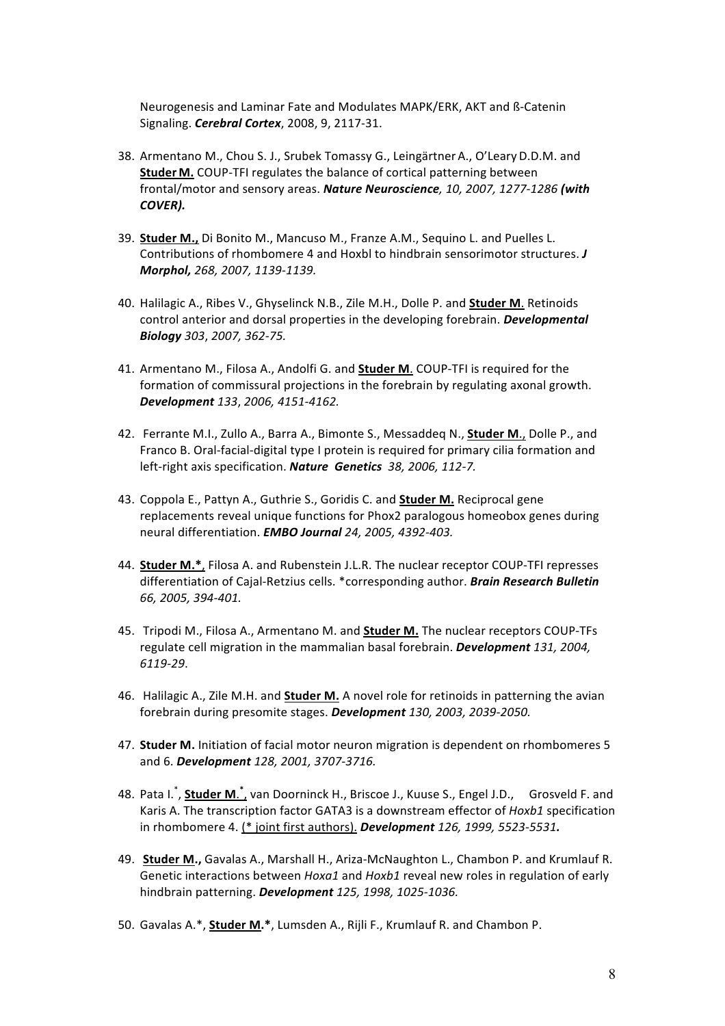Neurogenesis and Laminar Fate and Modulates MAPK/ERK, AKT and ß-Catenin Signaling. *Cerebral Cortex*, 2008, 9, 2117-31. 

- 38. Armentano M., Chou S. J., Srubek Tomassy G., Leingärtner A., O'Leary D.D.M. and **Studer M.** COUP-TFI regulates the balance of cortical patterning between frontal/motor and sensory areas. *Nature Neuroscience*, 10, 2007, 1277-1286 (with *COVER).*
- 39. **Studer M.,** Di Bonito M., Mancuso M., Franze A.M., Sequino L. and Puelles L. Contributions of rhombomere 4 and Hoxbl to hindbrain sensorimotor structures. *J Morphol, 268, 2007, 1139-1139.*
- 40. Halilagic A., Ribes V., Ghyselinck N.B., Zile M.H., Dolle P. and **Studer M**. Retinoids control anterior and dorsal properties in the developing forebrain. *Developmental Biology 303*, *2007, 362-75.*
- 41. Armentano M., Filosa A., Andolfi G. and **Studer M.** COUP-TFI is required for the formation of commissural projections in the forebrain by regulating axonal growth. *Development 133*, *2006, 4151-4162.*
- 42. Ferrante M.I., Zullo A., Barra A., Bimonte S., Messaddeg N., **Studer M.**, Dolle P., and Franco B. Oral-facial-digital type I protein is required for primary cilia formation and left-right axis specification. *Nature Genetics* 38, 2006, 112-7.
- 43. Coppola E., Pattyn A., Guthrie S., Goridis C. and **Studer M.** Reciprocal gene replacements reveal unique functions for Phox2 paralogous homeobox genes during neural differentiation. *EMBO Journal 24, 2005, 4392-403.*
- 44. **Studer M.\***, Filosa A. and Rubenstein J.L.R. The nuclear receptor COUP-TFI represses differentiation of Cajal-Retzius cells. \*corresponding author. **Brain Research Bulletin** *66, 2005, 394-401.*
- 45. Tripodi M., Filosa A., Armentano M. and **Studer M.** The nuclear receptors COUP-TFs regulate cell migration in the mammalian basal forebrain. **Development** 131, 2004, *6119-29*.
- 46. Halilagic A., Zile M.H. and **Studer M.** A novel role for retinoids in patterning the avian forebrain during presomite stages. Development 130, 2003, 2039-2050.
- 47. **Studer M.** Initiation of facial motor neuron migration is dependent on rhombomeres 5 and 6. *Development* 128, 2001, 3707-3716.
- 48. Pata I.<sup>\*</sup>, **Studer M**.<sup>\*</sup>, van Doorninck H., Briscoe J., Kuuse S., Engel J.D., Grosveld F. and Karis A. The transcription factor GATA3 is a downstream effector of *Hoxb1* specification in rhombomere 4. (\* joint first authors). **Development** 126, 1999, 5523-5531.
- 49. **Studer M.,** Gavalas A., Marshall H., Ariza-McNaughton L., Chambon P. and Krumlauf R. Genetic interactions between *Hoxa1* and *Hoxb1* reveal new roles in regulation of early hindbrain patterning. *Development 125, 1998, 1025-1036.*
- 50. Gavalas A.\*, **Studer M.\***, Lumsden A., Rijli F., Krumlauf R. and Chambon P.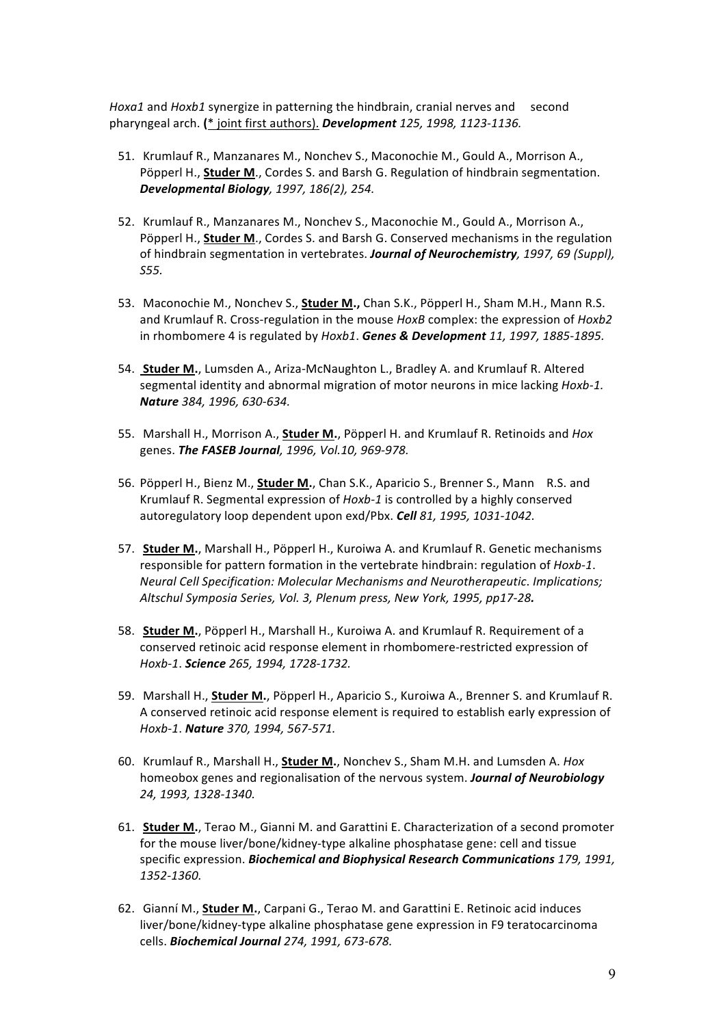*Hoxa1* and *Hoxb1* synergize in patterning the hindbrain, cranial nerves and second pharyngeal arch. (\* joint first authors). Development 125, 1998, 1123-1136.

- 51. Krumlauf R., Manzanares M., Nonchev S., Maconochie M., Gould A., Morrison A., Pöpperl H., **Studer M.**, Cordes S. and Barsh G. Regulation of hindbrain segmentation. *Developmental Biology, 1997, 186(2), 254.*
- 52. Krumlauf R., Manzanares M., Nonchev S., Maconochie M., Gould A., Morrison A., Pöpperl H., **Studer M.**, Cordes S. and Barsh G. Conserved mechanisms in the regulation of hindbrain segmentation in vertebrates. *Journal of Neurochemistry*, 1997, 69 (Suppl), *S55.*
- 53. Maconochie M., Nonchev S., **Studer M.,** Chan S.K., Pöpperl H., Sham M.H., Mann R.S. and Krumlauf R. Cross-regulation in the mouse *HoxB* complex: the expression of *Hoxb2* in rhombomere 4 is regulated by *Hoxb1*. **Genes & Development** 11, 1997, 1885-1895.
- 54. **Studer M.**, Lumsden A., Ariza-McNaughton L., Bradley A. and Krumlauf R. Altered segmental identity and abnormal migration of motor neurons in mice lacking *Hoxb-1*. *Nature 384, 1996, 630-634.*
- 55. Marshall H., Morrison A., **Studer M.**, Pöpperl H. and Krumlauf R. Retinoids and *Hox* genes. *The FASEB Journal, 1996, Vol.10, 969-978.*
- 56. Pöpperl H., Bienz M., **Studer M.**, Chan S.K., Aparicio S., Brenner S., Mann R.S. and Krumlauf R. Segmental expression of Hoxb-1 is controlled by a highly conserved autoregulatory loop dependent upon exd/Pbx. **Cell** 81, 1995, 1031-1042.
- 57. Studer M., Marshall H., Pöpperl H., Kuroiwa A. and Krumlauf R. Genetic mechanisms responsible for pattern formation in the vertebrate hindbrain: regulation of *Hoxb-1*. *Neural Cell Specification: Molecular Mechanisms and Neurotherapeutic. Implications; Altschul Symposia Series, Vol. 3, Plenum press, New York, 1995, pp17-28.*
- 58. **Studer M.**, Pöpperl H., Marshall H., Kuroiwa A. and Krumlauf R. Requirement of a conserved retinoic acid response element in rhombomere-restricted expression of *Hoxb-1*. *Science 265, 1994, 1728-1732.*
- 59. Marshall H., **Studer M.**, Pöpperl H., Aparicio S., Kuroiwa A., Brenner S. and Krumlauf R. A conserved retinoic acid response element is required to establish early expression of *Hoxb-1*. *Nature 370, 1994, 567-571.*
- 60. Krumlauf R., Marshall H., **Studer M.**, Nonchev S., Sham M.H. and Lumsden A. *Hox* homeobox genes and regionalisation of the nervous system. **Journal of Neurobiology** *24, 1993, 1328-1340.*
- 61. Studer M., Terao M., Gianni M. and Garattini E. Characterization of a second promoter for the mouse liver/bone/kidney-type alkaline phosphatase gene: cell and tissue specific expression. *Biochemical and Biophysical Research Communications* 179, 1991, *1352-1360.*
- 62. Gianní M., **Studer M.**, Carpani G., Terao M. and Garattini E. Retinoic acid induces liver/bone/kidney-type alkaline phosphatase gene expression in F9 teratocarcinoma cells. *Biochemical Journal 274, 1991, 673-678.*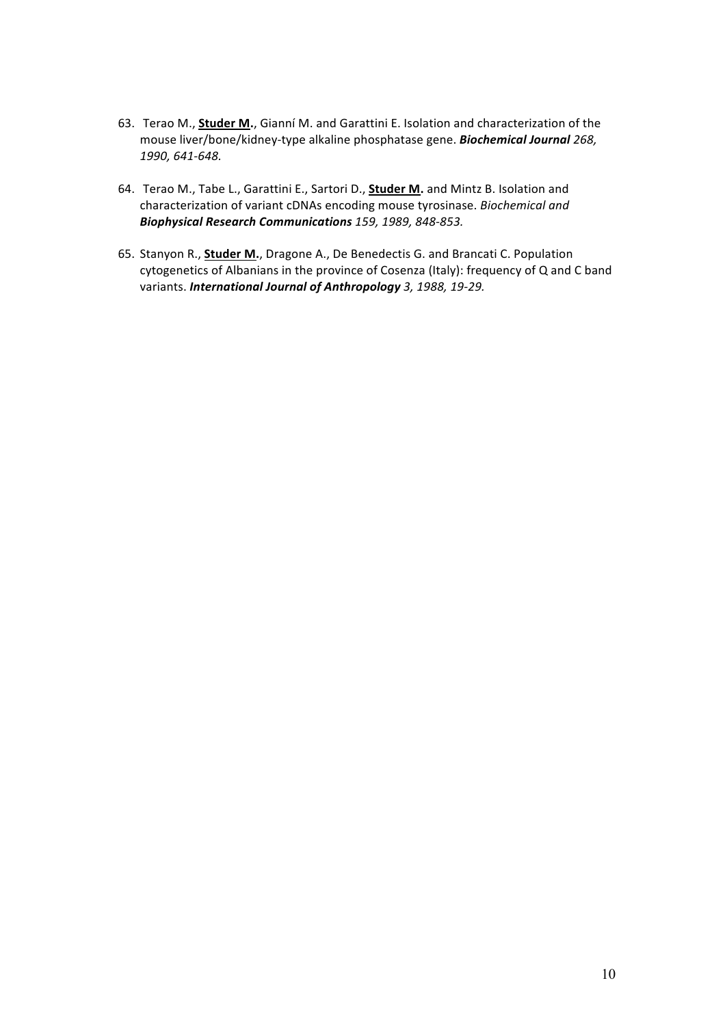- 63. Terao M., **Studer M.**, Gianní M. and Garattini E. Isolation and characterization of the mouse liver/bone/kidney-type alkaline phosphatase gene. **Biochemical Journal** 268, *1990, 641-648.*
- 64. Terao M., Tabe L., Garattini E., Sartori D., **Studer M.** and Mintz B. Isolation and characterization of variant cDNAs encoding mouse tyrosinase. *Biochemical and Biophysical Research Communications 159, 1989, 848-853.*
- 65. Stanyon R., **Studer M.**, Dragone A., De Benedectis G. and Brancati C. Population cytogenetics of Albanians in the province of Cosenza (Italy): frequency of Q and C band variants. **International Journal of Anthropology** 3, 1988, 19-29.